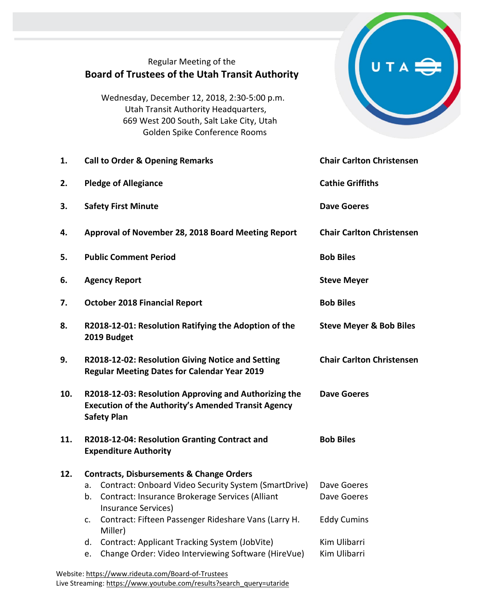| Regular Meeting of the<br><b>Board of Trustees of the Utah Transit Authority</b><br>Wednesday, December 12, 2018, 2:30-5:00 p.m.<br>Utah Transit Authority Headquarters,<br>669 West 200 South, Salt Lake City, Utah<br>Golden Spike Conference Rooms           |                                                               |
|-----------------------------------------------------------------------------------------------------------------------------------------------------------------------------------------------------------------------------------------------------------------|---------------------------------------------------------------|
| <b>Call to Order &amp; Opening Remarks</b>                                                                                                                                                                                                                      | <b>Chair Carlton Christensen</b>                              |
| <b>Pledge of Allegiance</b>                                                                                                                                                                                                                                     | <b>Cathie Griffiths</b>                                       |
| <b>Safety First Minute</b>                                                                                                                                                                                                                                      | <b>Dave Goeres</b>                                            |
| Approval of November 28, 2018 Board Meeting Report                                                                                                                                                                                                              | <b>Chair Carlton Christensen</b>                              |
| <b>Public Comment Period</b>                                                                                                                                                                                                                                    | <b>Bob Biles</b>                                              |
| <b>Agency Report</b>                                                                                                                                                                                                                                            | <b>Steve Meyer</b>                                            |
| <b>October 2018 Financial Report</b>                                                                                                                                                                                                                            | <b>Bob Biles</b>                                              |
| R2018-12-01: Resolution Ratifying the Adoption of the<br>2019 Budget                                                                                                                                                                                            | <b>Steve Meyer &amp; Bob Biles</b>                            |
| R2018-12-02: Resolution Giving Notice and Setting<br><b>Regular Meeting Dates for Calendar Year 2019</b>                                                                                                                                                        | <b>Chair Carlton Christensen</b>                              |
| R2018-12-03: Resolution Approving and Authorizing the<br><b>Dave Goeres</b><br><b>Execution of the Authority's Amended Transit Agency</b><br><b>Safety Plan</b>                                                                                                 |                                                               |
| R2018-12-04: Resolution Granting Contract and<br><b>Expenditure Authority</b>                                                                                                                                                                                   | <b>Bob Biles</b>                                              |
| <b>Contracts, Disbursements &amp; Change Orders</b><br>Contract: Onboard Video Security System (SmartDrive)<br>a.<br>Contract: Insurance Brokerage Services (Alliant<br>b.<br>Insurance Services)<br>Contract: Fifteen Passenger Rideshare Vans (Larry H.<br>c. | Dave Goeres<br>Dave Goeres<br><b>Eddy Cumins</b>              |
| Contract: Applicant Tracking System (JobVite)<br>d.<br>Change Order: Video Interviewing Software (HireVue)<br>e.                                                                                                                                                | Kim Ulibarri<br>Kim Ulibarri                                  |
|                                                                                                                                                                                                                                                                 | Miller)<br>Wahsita: https://www.ridauta.com/Board-of-Trustees |

Website[: https://www.rideuta.com/Board-of-Trustees](https://www.rideuta.com/Board-of-Trustees)  Live Streaming[: https://www.youtube.com/results?search\\_query=utaride](https://www.youtube.com/results?search_query=utaride)